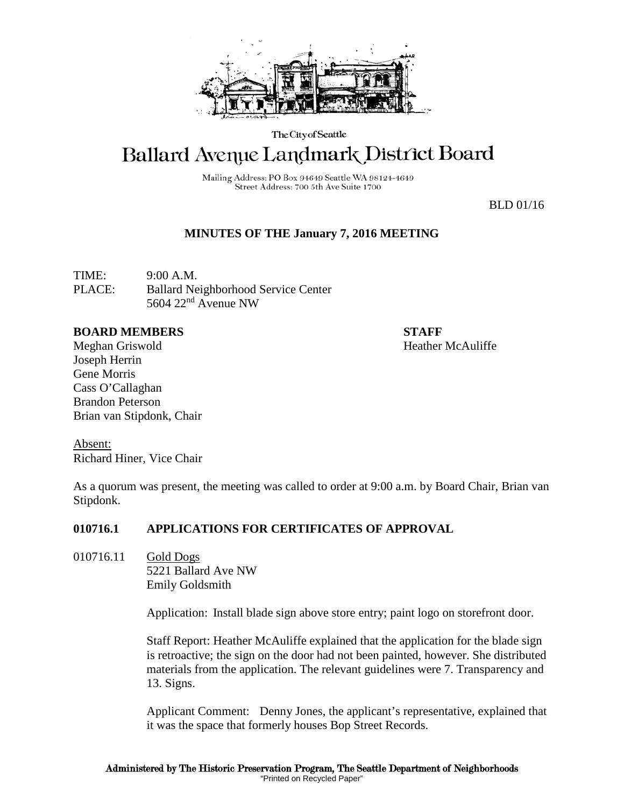

The City of Seattle

# Ballard Avenue Landmark District Board

Mailing Address: PO Box 94649 Seattle WA 98124-4649 Street Address: 700 5th Ave Suite 1700

BLD 01/16

## **MINUTES OF THE January 7, 2016 MEETING**

TIME: 9:00 A.M. PLACE: Ballard Neighborhood Service Center 5604 22nd Avenue NW

#### **BOARD MEMBERS STAFF**

Meghan Griswold **Heather McAuliffe** Joseph Herrin Gene Morris Cass O'Callaghan Brandon Peterson Brian van Stipdonk, Chair

Absent: Richard Hiner, Vice Chair

As a quorum was present, the meeting was called to order at 9:00 a.m. by Board Chair, Brian van Stipdonk.

#### **010716.1 APPLICATIONS FOR CERTIFICATES OF APPROVAL**

010716.11 Gold Dogs 5221 Ballard Ave NW Emily Goldsmith

Application: Install blade sign above store entry; paint logo on storefront door.

Staff Report: Heather McAuliffe explained that the application for the blade sign is retroactive; the sign on the door had not been painted, however. She distributed materials from the application. The relevant guidelines were 7. Transparency and 13. Signs.

Applicant Comment: Denny Jones, the applicant's representative, explained that it was the space that formerly houses Bop Street Records.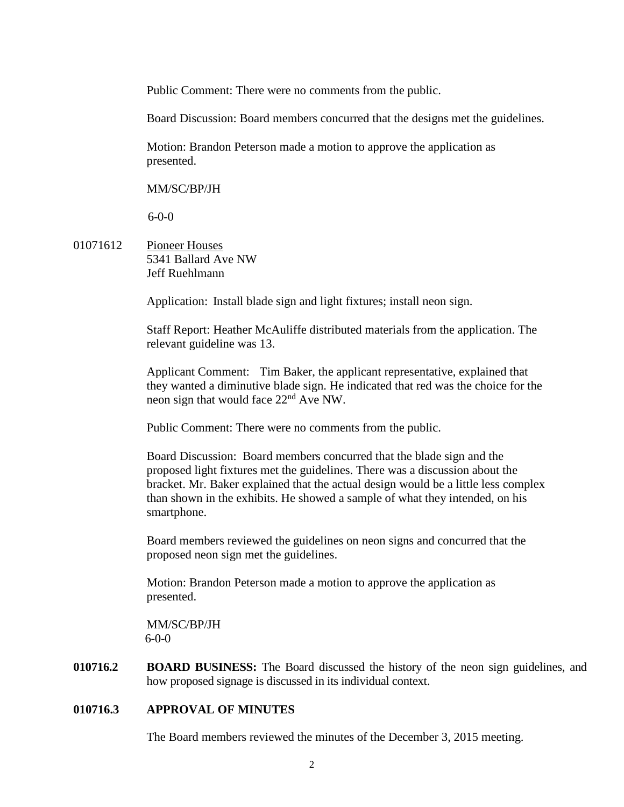Public Comment: There were no comments from the public.

Board Discussion: Board members concurred that the designs met the guidelines.

Motion: Brandon Peterson made a motion to approve the application as presented.

MM/SC/BP/JH

6-0-0

01071612 Pioneer Houses 5341 Ballard Ave NW Jeff Ruehlmann

Application: Install blade sign and light fixtures; install neon sign.

Staff Report: Heather McAuliffe distributed materials from the application. The relevant guideline was 13.

Applicant Comment: Tim Baker, the applicant representative, explained that they wanted a diminutive blade sign. He indicated that red was the choice for the neon sign that would face 22nd Ave NW.

Public Comment: There were no comments from the public.

Board Discussion: Board members concurred that the blade sign and the proposed light fixtures met the guidelines. There was a discussion about the bracket. Mr. Baker explained that the actual design would be a little less complex than shown in the exhibits. He showed a sample of what they intended, on his smartphone.

Board members reviewed the guidelines on neon signs and concurred that the proposed neon sign met the guidelines.

Motion: Brandon Peterson made a motion to approve the application as presented.

MM/SC/BP/JH 6-0-0

**010716.2 BOARD BUSINESS:** The Board discussed the history of the neon sign guidelines, and how proposed signage is discussed in its individual context.

#### **010716.3 APPROVAL OF MINUTES**

The Board members reviewed the minutes of the December 3, 2015 meeting.